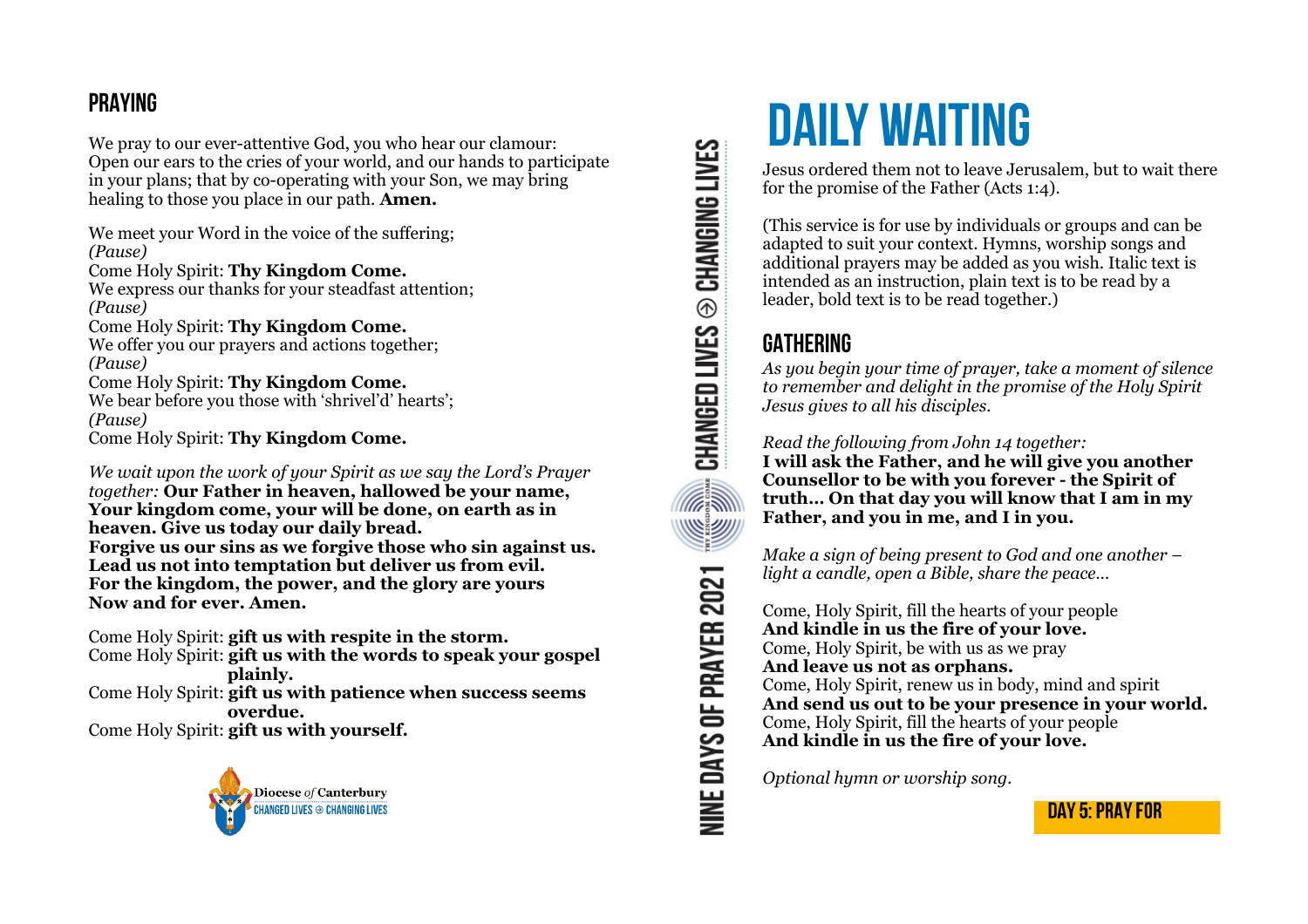## **PRAYING**

We pray to our ever-attentive God, you who hear our clamour: Open our ears to the cries of your world, and our hands to participate in your plans; that by co-operating with your Son, we may bring healing to those you place in our path. **Amen.** 

We meet your Word in the voice of the suffering; *(Pause)*  Come Holy Spirit: **Thy Kingdom Come.**

We express our thanks for your steadfast attention; *(Pause)*  Come Holy Spirit: **Thy Kingdom Come.**

We offer you our prayers and actions together; *(Pause)* 

Come Holy Spirit: **Thy Kingdom Come.** We bear before you those with 'shrivel'd' hearts': *(Pause)*  Come Holy Spirit: **Thy Kingdom Come.**

*We wait upon the work of your Spirit as we say the Lord's Prayer together:* **Our Father in heaven, hallowed be your name, Your kingdom come, your will be done, on earth as in heaven. Give us today our daily bread. Forgive us our sins as we forgive those who sin against us. Lead us not into temptation but deliver us from evil. For the kingdom, the power, and the glory are yours Now and for ever. Amen.** 

Come Holy Spirit: **gift us with respite in the storm.** Come Holy Spirit: **gift us with the words to speak your gospel plainly.**  Come Holy Spirit: **gift us with patience when success seems overdue.** Come Holy Spirit: **gift us with yourself.**



**CHANGED LIVES @ CHANGING LIVES** NINE DAYS OF PRAYER 2021

# **DAILY WAITING**

Jesus ordered them not to leave Jerusalem, but to wait there for the promise of the Father (Acts 1:4).

(This service is for use by individuals or groups and can be adapted to suit your context. Hymns, worship songs and additional prayers may be added as you wish. Italic text is intended as an instruction, plain text is to be read by a leader, bold text is to be read together.)

# **GATHERING**

*As you begin your time of prayer, take a moment of silence to remember and delight in the promise of the Holy Spirit Jesus gives to all his disciples.* 

*Read the following from John 14 together:* 

**I will ask the Father, and he will give you another Counsellor to be with you forever - the Spirit of truth… On that day you will know that I am in my Father, and you in me, and I in you.** 

*Make a sign of being present to God and one another – light a candle, open a Bible, share the peace…* 

Come, Holy Spirit, fill the hearts of your people **And kindle in us the fire of your love.**  Come, Holy Spirit, be with us as we pray **And leave us not as orphans.**  Come, Holy Spirit, renew us in body, mind and spirit **And send us out to be your presence in your world.**  Come, Holy Spirit, fill the hearts of your people **And kindle in us the fire of your love.** 

*Optional hymn or worship song.* 

DAY 5: PRAY FOR